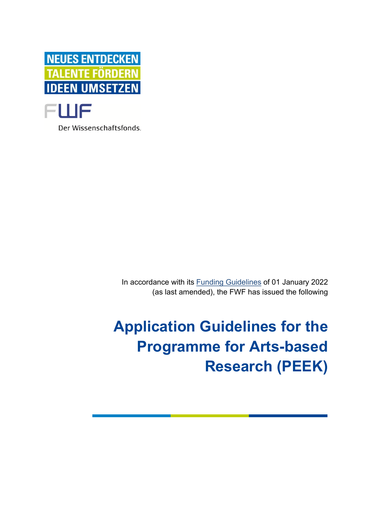

Der Wissenschaftsfonds.

In accordance with its [Funding Guidelines](https://www.fwf.ac.at/en/research-funding/decision-making-procedure-evaluation/funding-guidelines/) of 01 January 2022 (as last amended), the FWF has issued the following

**Application Guidelines for the Programme for Arts-based Research (PEEK)**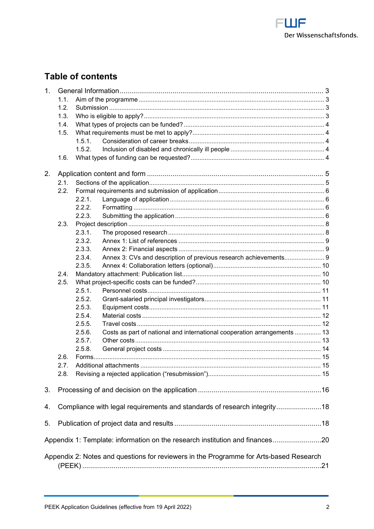

# **Table of contents**

| 1 <sub>1</sub> |                                                                          |        |                                                                                        |  |
|----------------|--------------------------------------------------------------------------|--------|----------------------------------------------------------------------------------------|--|
|                | 1.1.                                                                     |        |                                                                                        |  |
|                | 1.2.                                                                     |        |                                                                                        |  |
|                | 1.3.                                                                     |        |                                                                                        |  |
|                | 1.4.                                                                     |        |                                                                                        |  |
|                | 1.5.                                                                     |        |                                                                                        |  |
|                |                                                                          | 1.5.1. |                                                                                        |  |
|                |                                                                          | 1.5.2. |                                                                                        |  |
|                | 1.6.                                                                     |        |                                                                                        |  |
|                |                                                                          |        |                                                                                        |  |
| 2.             |                                                                          |        |                                                                                        |  |
|                | 2.1.<br>2.2.                                                             |        |                                                                                        |  |
|                |                                                                          |        |                                                                                        |  |
|                |                                                                          | 2.2.1. |                                                                                        |  |
|                |                                                                          | 2.2.2. |                                                                                        |  |
|                |                                                                          | 2.2.3. |                                                                                        |  |
|                | 2.3.                                                                     |        |                                                                                        |  |
|                |                                                                          | 2.3.1. |                                                                                        |  |
|                |                                                                          | 2.3.2. |                                                                                        |  |
|                |                                                                          | 2.3.3. |                                                                                        |  |
|                |                                                                          | 2.3.4. | Annex 3: CVs and description of previous research achievements 9                       |  |
|                |                                                                          | 2.3.5. |                                                                                        |  |
|                | 2.4.                                                                     |        |                                                                                        |  |
|                | 2.5.                                                                     |        |                                                                                        |  |
|                |                                                                          | 2.5.1. |                                                                                        |  |
|                |                                                                          | 2.5.2. |                                                                                        |  |
|                |                                                                          | 2.5.3. |                                                                                        |  |
|                |                                                                          | 2.5.4. |                                                                                        |  |
|                |                                                                          | 2.5.5. |                                                                                        |  |
|                |                                                                          | 2.5.6. | Costs as part of national and international cooperation arrangements  13               |  |
|                |                                                                          | 2.5.7. |                                                                                        |  |
|                |                                                                          | 2.5.8. |                                                                                        |  |
|                | 2.6.                                                                     |        |                                                                                        |  |
|                | 2.7.                                                                     |        |                                                                                        |  |
|                | 2.8.                                                                     |        |                                                                                        |  |
|                |                                                                          |        |                                                                                        |  |
| 3.             |                                                                          |        |                                                                                        |  |
| 4.             | Compliance with legal requirements and standards of research integrity18 |        |                                                                                        |  |
| 5.             |                                                                          |        |                                                                                        |  |
|                |                                                                          |        | Appendix 1: Template: information on the research institution and finances20           |  |
|                |                                                                          |        |                                                                                        |  |
|                |                                                                          |        | Appendix 2: Notes and questions for reviewers in the Programme for Arts-based Research |  |
|                |                                                                          |        |                                                                                        |  |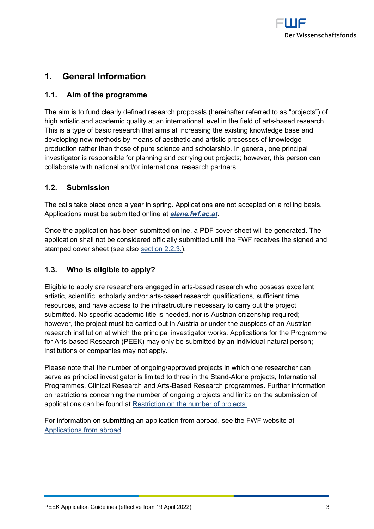

# <span id="page-2-0"></span>**1. General Information**

## <span id="page-2-1"></span>**1.1. Aim of the programme**

The aim is to fund clearly defined research proposals (hereinafter referred to as "projects") of high artistic and academic quality at an international level in the field of arts-based research. This is a type of basic research that aims at increasing the existing knowledge base and developing new methods by means of aesthetic and artistic processes of knowledge production rather than those of pure science and scholarship. In general, one principal investigator is responsible for planning and carrying out projects; however, this person can collaborate with national and/or international research partners.

## <span id="page-2-2"></span>**1.2. Submission**

The calls take place once a year in spring. Applications are not accepted on a rolling basis. Applications must be submitted online at *[elane.fwf.ac.at](https://elane.fwf.ac.at/)*.

Once the application has been submitted online, a PDF cover sheet will be generated. The application shall not be considered officially submitted until the FWF receives the signed and stamped cover sheet (see also [section 2.2.3.](#page-5-3)).

## <span id="page-2-3"></span>**1.3. Who is eligible to apply?**

Eligible to apply are researchers engaged in arts-based research who possess excellent artistic, scientific, scholarly and/or arts-based research qualifications, sufficient time resources, and have access to the infrastructure necessary to carry out the project submitted. No specific academic title is needed, nor is Austrian citizenship required; however, the project must be carried out in Austria or under the auspices of an Austrian research institution at which the principal investigator works. Applications for the Programme for Arts-based Research (PEEK) may only be submitted by an individual natural person; institutions or companies may not apply.

Please note that the number of ongoing/approved projects in which one researcher can serve as principal investigator is limited to three in the Stand-Alone projects, International Programmes, Clinical Research and Arts-Based Research programmes. Further information on restrictions concerning the number of ongoing projects and limits on the submission of applications can be found at [Restriction on the number of projects.](https://www.fwf.ac.at/fileadmin/files/Dokumente/Antragstellung/project_number_limit.pdf)

For information on submitting an application from abroad, see the FWF website at [Applications from abroad.](https://www.fwf.ac.at/en/research-funding/applications-from-abroad/)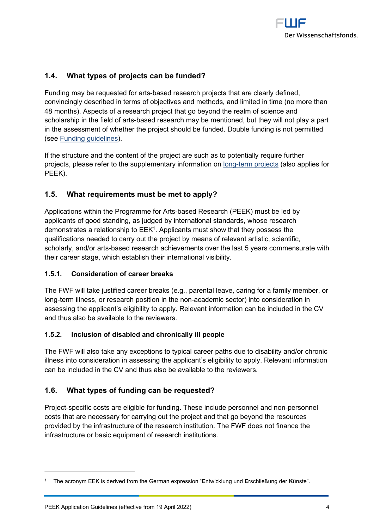

## <span id="page-3-0"></span>**1.4. What types of projects can be funded?**

Funding may be requested for arts-based research projects that are clearly defined, convincingly described in terms of objectives and methods, and limited in time (no more than 48 months). Aspects of a research project that go beyond the realm of science and scholarship in the field of arts-based research may be mentioned, but they will not play a part in the assessment of whether the project should be funded. Double funding is not permitted (see [Funding guidelines\)](https://www.fwf.ac.at/en/research-funding/decision-making-procedure-evaluation/funding-guidelines/).

If the structure and the content of the project are such as to potentially require further projects, please refer to the supplementary information on [long-term projects](https://www.fwf.ac.at/fileadmin/files/Dokumente/Antragstellung/Einzelprojekte/p_long-term-projects.pdf) (also applies for PEEK).

## <span id="page-3-1"></span>**1.5. What requirements must be met to apply?**

<span id="page-3-6"></span>Applications within the Programme for Arts-based Research (PEEK) must be led by applicants of good standing, as judged by international standards, whose research demonstrates a relationship to  $\mathsf{EEK^1}.$  $\mathsf{EEK^1}.$  $\mathsf{EEK^1}.$  Applicants must show that they possess the qualifications needed to carry out the project by means of relevant artistic, scientific, scholarly, and/or arts-based research achievements over the last 5 years commensurate with their career stage, which establish their international visibility.

#### <span id="page-3-2"></span>**1.5.1. Consideration of career breaks**

The FWF will take justified career breaks (e.g., parental leave, caring for a family member, or long-term illness, or research position in the non-academic sector) into consideration in assessing the applicant's eligibility to apply. Relevant information can be included in the CV and thus also be available to the reviewers.

## <span id="page-3-3"></span>**1.5.2. Inclusion of disabled and chronically ill people**

The FWF will also take any exceptions to typical career paths due to disability and/or chronic illness into consideration in assessing the applicant's eligibility to apply. Relevant information can be included in the CV and thus also be available to the reviewers.

## <span id="page-3-4"></span>**1.6. What types of funding can be requested?**

Project-specific costs are eligible for funding. These include personnel and non-personnel costs that are necessary for carrying out the project and that go beyond the resources provided by the infrastructure of the research institution. The FWF does not finance the infrastructure or basic equipment of research institutions.

<span id="page-3-5"></span>[<sup>1</sup>](#page-3-6) The acronym EEK is derived from the German expression "**E**ntwicklung und **E**rschließung der **K**ünste".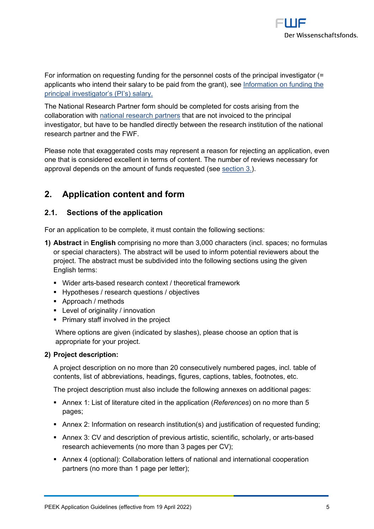

For information on requesting funding for the personnel costs of the principal investigator (= applicants who intend their salary to be paid from the grant), see [Information on funding the](https://www.fwf.ac.at/fileadmin/files/Dokumente/Antragstellung/information_grant-salaried-PI.pdf)  [principal investigator's \(PI's\) salary.](https://www.fwf.ac.at/fileadmin/files/Dokumente/Antragstellung/information_grant-salaried-PI.pdf)

The National Research Partner form should be completed for costs arising from the collaboration with [national research partners](https://www.fwf.ac.at/fileadmin/files/Dokumente/Antragstellung/glossary_application-guidelines.pdf) that are not invoiced to the principal investigator, but have to be handled directly between the research institution of the national research partner and the FWF.

Please note that exaggerated costs may represent a reason for rejecting an application, even one that is considered excellent in terms of content. The number of reviews necessary for approval depends on the amount of funds requested (see [section 3.\)](#page-15-0).

## <span id="page-4-0"></span>**2. Application content and form**

## <span id="page-4-1"></span>**2.1. Sections of the application**

For an application to be complete, it must contain the following sections:

- **1) Abstract** in **English** comprising no more than 3,000 characters (incl. spaces; no formulas or special characters). The abstract will be used to inform potential reviewers about the project. The abstract must be subdivided into the following sections using the given English terms:
	- Wider arts-based research context / theoretical framework
	- Hypotheses / research questions / objectives
	- Approach / methods
	- Level of originality / innovation
	- **Primary staff involved in the project**

Where options are given (indicated by slashes), please choose an option that is appropriate for your project.

#### **2) Project description:**

A project description on no more than 20 consecutively numbered pages, incl. table of contents, list of abbreviations, headings, figures, captions, tables, footnotes, etc.

The project description must also include the following annexes on additional pages:

- **EXE** Annex 1: List of literature cited in the application (*References*) on no more than 5 pages;
- Annex 2: Information on research institution(s) and justification of requested funding;
- Annex 3: CV and description of previous artistic, scientific, scholarly, or arts-based research achievements (no more than 3 pages per CV);
- Annex 4 (optional): Collaboration letters of national and international cooperation partners (no more than 1 page per letter);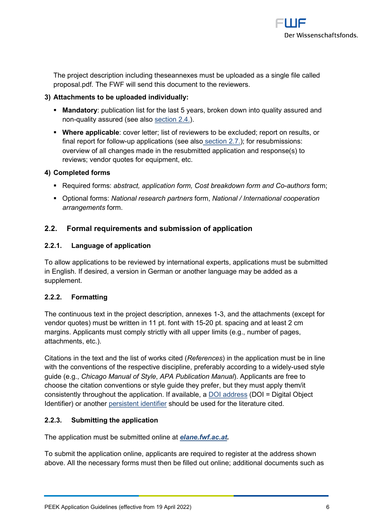

The project description including theseannexes must be uploaded as a single file called proposal.pdf. The FWF will send this document to the reviewers.

### **3) Attachments to be uploaded individually:**

- **Mandatory**: publication list for the last 5 years, broken down into quality assured and non-quality assured (see also [section 2.4.](#page-9-1)).
- **Where applicable**: cover letter; list of reviewers to be excluded; report on results, or final report for follow-up applications (see also [section 2.7.](#page-14-1)); for resubmissions: overview of all changes made in the resubmitted application and response(s) to reviews; vendor quotes for equipment, etc.

#### **4) Completed forms**

- Required forms: *abstract, application form, Cost breakdown form and Co-authors* form;
- Optional forms: *National research partners* form, *National / International cooperation arrangements* form.

## <span id="page-5-0"></span>**2.2. Formal requirements and submission of application**

#### <span id="page-5-1"></span>**2.2.1. Language of application**

To allow applications to be reviewed by international experts, applications must be submitted in English. If desired, a version in German or another language may be added as a supplement.

## <span id="page-5-2"></span>**2.2.2. Formatting**

The continuous text in the project description, annexes 1-3, and the attachments (except for vendor quotes) must be written in 11 pt. font with 15-20 pt. spacing and at least 2 cm margins. Applicants must comply strictly with all upper limits (e.g., number of pages, attachments, etc.).

Citations in the text and the list of works cited (*References*) in the application must be in line with the conventions of the respective discipline, preferably according to a widely-used style guide (e.g., *Chicago Manual of Style*, *APA Publication Manual*). Applicants are free to choose the citation conventions or style guide they prefer, but they must apply them/it consistently throughout the application. If available, a [DOI address](http://www.doi.org/) (DOI = Digital Object Identifier) or another [persistent identifier](https://en.wikipedia.org/wiki/Persistent_identifier) should be used for the literature cited.

## <span id="page-5-3"></span>**2.2.3. Submitting the application**

<span id="page-5-4"></span>The application must be submitted online at *[elane.fwf.ac.at.](https://elane.fwf.ac.at/)*

To submit the application online, applicants are required to register at the address shown above. All the necessary forms must then be filled out online; additional documents such as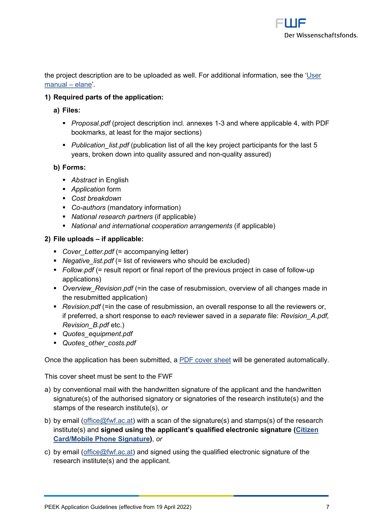

the project description are to be uploaded as well. For additional information, see the ['User](https://elane.fwf.ac.at/wicket/resource/org.apache.wicket.Application/QuickReference_en-ver-BEBE0AE980D9E3AAD9C10DE9C2B99684.pdf)  [manual –](https://elane.fwf.ac.at/wicket/resource/org.apache.wicket.Application/QuickReference_en-ver-BEBE0AE980D9E3AAD9C10DE9C2B99684.pdf) elane'.

### **1) Required parts of the application:**

- **a) Files:**
	- *Proposal.pdf* (project description incl. annexes 1-3 and where applicable 4, with PDF bookmarks, at least for the major sections)
	- *Publication list.pdf* (publication list of all the key project participants for the last 5 years, broken down into quality assured and non-quality assured)

#### **b) Forms:**

- *Abstract* in English
- *Application* form
- *Cost breakdown*
- *Co-authors* (mandatory information)
- *National research partners* (if applicable)
- *National and international cooperation arrangements* (if applicable)

#### **2) File uploads – if applicable:**

- *Cover\_Letter.pdf* (= accompanying letter)
- *Negative\_list.pdf* (= list of reviewers who should be excluded)
- *Follow.pdf* (= result report or final report of the previous project in case of follow-up applications)
- *Overview Revision.pdf* (=in the case of resubmission, overview of all changes made in the resubmitted application)
- *Revision.pdf* (=in the case of resubmission, an overall response to all the reviewers or, if preferred, a short response to *each* reviewer saved in a *separate* file: *Revision\_A.pdf, Revision\_B.pdf* etc.)
- *Quotes\_equipment.pdf*
- *Quotes\_other\_costs.pdf*

Once the application has been submitted, a [PDF cover sheet](https://www.fwf.ac.at/fileadmin/files/Dokumente/Antragstellung/glossary_application-guidelines.pdf) will be generated automatically.

This cover sheet must be sent to the FWF

- a) by conventional mail with the handwritten signature of the applicant and the handwritten signature(s) of the authorised signatory or signatories of the research institute(s) and the stamps of the research institute(s), *or*
- b) by email [\(office@fwf.ac.at\)](mailto:office@fwf.ac.at) with a scan of the signature(s) and stamps(s) of the research institute(s) and **signed using the applicant's qualified electronic signature [\(Citizen](https://www.buergerkarte.at/en/)  [Card/Mobile Phone Signature\)](https://www.buergerkarte.at/en/)**, *or*
- c) by email [\(office@fwf.ac.at\)](mailto:office@fwf.ac.at) and signed using the qualified electronic signature of the research institute(s) and the applicant.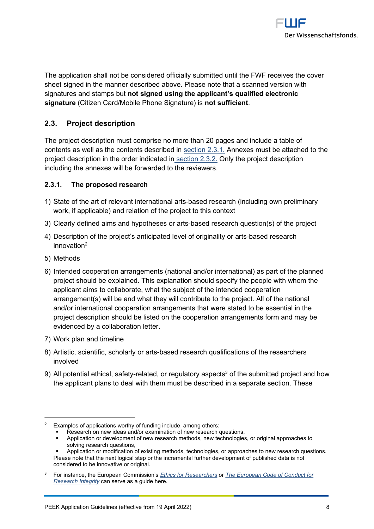

The application shall not be considered officially submitted until the FWF receives the cover sheet signed in the manner described above. Please note that a scanned version with signatures and stamps but **not signed using the applicant's qualified electronic signature** (Citizen Card/Mobile Phone Signature) is **not sufficient**.

## <span id="page-7-0"></span>**2.3. Project description**

The project description must comprise no more than 20 pages and include a table of contents as well as the contents described in [section 2.3.1.](#page-7-1) Annexes must be attached to the project description in the order indicated in [section 2.3.2.](#page-8-0) Only the project description including the annexes will be forwarded to the reviewers.

#### <span id="page-7-1"></span>**2.3.1. The proposed research**

- 1) State of the art of relevant international arts-based research (including own preliminary work, if applicable) and relation of the project to this context
- 3) Clearly defined aims and hypotheses or arts-based research question(s) of the project
- <span id="page-7-4"></span>4) Description of the project's anticipated level of originality or arts-based research innovation[2](#page-7-2)
- 5) Methods
- 6) Intended [cooperation arrangements](https://www.fwf.ac.at/fileadmin/files/Dokumente/Antragstellung/glossary_application-guidelines.pdf) (national and/or international) as part of the planned project should be explained. This explanation should specify the people with whom the applicant aims to collaborate, what the subject of the intended cooperation arrangement(s) will be and what they will contribute to the project. All of the national and/or international cooperation arrangements that were stated to be essential in the project description should be listed on the cooperation arrangements form and may be evidenced by a collaboration letter.
- 7) Work plan and timeline
- 8) Artistic, scientific, scholarly or arts-based research qualifications of the researchers involved
- 9) All potential ethical, safety-related, or regulatory aspects<sup>[3](#page-7-3)</sup> of the submitted project and how the applicant plans to deal with them must be described in a separate section. These

- Application or development of new research methods, new technologies, or original approaches to solving research questions,
- Application or modification of existing methods, technologies, or approaches to new research questions. Please note that the next logical step or the incremental further development of published data is not considered to be innovative or original.
- <span id="page-7-3"></span>[3](#page-7-5) For instance, the European Commission's *[Ethics for Researchers](http://ec.europa.eu/research/participants/data/ref/fp7/89888/ethics-for-researchers_en.pdf)* or *[The European Code of Conduct for](https://ec.europa.eu/info/funding-tenders/opportunities/docs/2021-2027/horizon/guidance/european-code-of-conduct-for-research-integrity_horizon_en.pdf)  [Research Integrity](https://ec.europa.eu/info/funding-tenders/opportunities/docs/2021-2027/horizon/guidance/european-code-of-conduct-for-research-integrity_horizon_en.pdf)* can serve as a guide here*.*

<span id="page-7-2"></span><sup>&</sup>lt;sup>[2](#page-7-4)</sup> Examples of applications worthy of funding include, among others:

<span id="page-7-5"></span>Research on new ideas and/or examination of new research questions,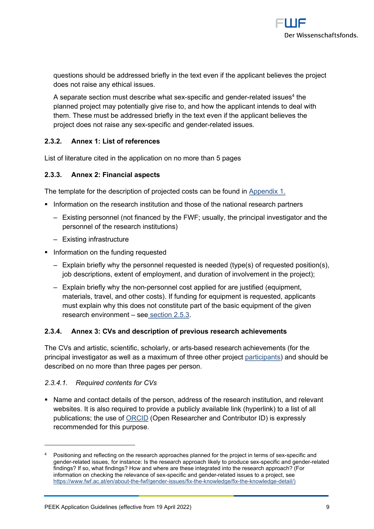<span id="page-8-4"></span>

questions should be addressed briefly in the text even if the applicant believes the project does not raise any ethical issues.

A separate section must describe what sex-specific and gender-related issues $^4$  $^4$  the planned project may potentially give rise to, and how the applicant intends to deal with them. These must be addressed briefly in the text even if the applicant believes the project does not raise any sex-specific and gender-related issues.

#### <span id="page-8-0"></span>**2.3.2. Annex 1: List of references**

List of literature cited in the application on no more than 5 pages

#### <span id="page-8-1"></span>**2.3.3. Annex 2: Financial aspects**

The template for the description of projected costs can be found in [Appendix](#page-19-0) 1.

- Information on the research institution and those of the national research partners
	- ‒ Existing personnel (not financed by the FWF; usually, the principal investigator and the personnel of the research institutions)
	- ‒ Existing infrastructure
- **•** Information on the funding requested
	- ‒ Explain briefly why the personnel requested is needed (type(s) of requested position(s), job descriptions, extent of employment, and duration of involvement in the project);
	- ‒ Explain briefly why the non-personnel cost applied for are justified (equipment, materials, travel, and other costs). If funding for equipment is requested, applicants must explain why this does not constitute part of the basic equipment of the given research environment – see [section 2.5.3.](#page-10-2)

#### <span id="page-8-2"></span>**2.3.4. Annex 3: CVs and description of previous research achievements**

The CVs and artistic, scientific, scholarly, or arts-based research achievements (for the principal investigator as well as a maximum of three other project [participants\)](https://www.fwf.ac.at/fileadmin/files/Dokumente/Antragstellung/glossary_application-guidelines.pdf) and should be described on no more than three pages per person.

#### *2.3.4.1. Required contents for CVs*

■ Name and contact details of the person, address of the research institution, and relevant websites. It is also required to provide a publicly available link (hyperlink) to a list of all publications; the use of [ORCID](https://orcid.org/) (Open Researcher and Contributor ID) is expressly recommended for this purpose.

<span id="page-8-3"></span>Positioning and reflecting on the research approaches planned for the project in terms of sex-specific and gender-related issues, for instance: Is the research approach likely to produce sex-specific and gender-related findings? If so, what findings? How and where are these integrated into the research approach? (For information on checking the relevance of sex-specific and gender-related issues to a project, see [https://www.fwf.ac.at/en/about-the-fwf/gender-issues/fix-the-knowledge/fix-the-knowledge-detail/\)](https://www.fwf.ac.at/en/about-the-fwf/gender-issues/fix-the-knowledge/fix-the-knowledge-detail/)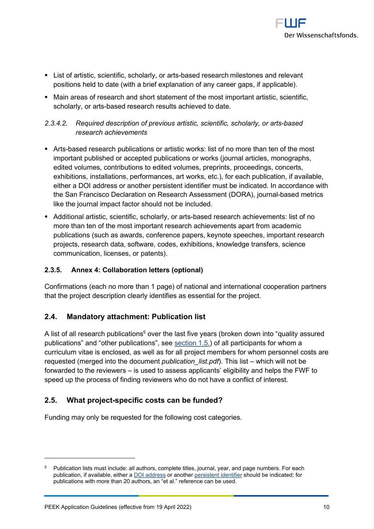

- **EXECT ST List of artistic, scientific, scholarly, or arts-based research milestones and relevant** positions held to date (with a brief explanation of any career gaps, if applicable).
- Main areas of research and short statement of the most important artistic, scientific, scholarly, or arts-based research results achieved to date.

## *2.3.4.2. Required description of previous artistic, scientific, scholarly, or arts-based research achievements*

- Arts-based research publications or artistic works: list of no more than ten of the most important published or accepted publications or works (journal articles, monographs, edited volumes, contributions to edited volumes, preprints, proceedings, concerts, exhibitions, installations, performances, art works, etc.), for each publication, if available, either a [DOI address](http://www.doi.org/) or another [persistent identifier](http://en.wikipedia.org/wiki/Persistent_identifier) must be indicated. In accordance with the [San Francisco Declaration on Research Assessment \(DORA\),](https://sfdora.org/) journal-based metrics like the journal impact factor should not be included.
- **E** Additional artistic, scientific, scholarly, or arts-based research achievements: list of no more than ten of the most important research achievements apart from academic publications (such as awards, conference papers, keynote speeches, important research projects, research data, software, codes, exhibitions, knowledge transfers, science communication, licenses, or patents).

## <span id="page-9-0"></span>**2.3.5. Annex 4: Collaboration letters (optional)**

Confirmations (each no more than 1 page) of national and international cooperation partners that the project description clearly identifies as essential for the project.

## <span id="page-9-1"></span>**2.4. Mandatory attachment: Publication list**

<span id="page-9-4"></span>A list of all research publications<sup>[5](#page-9-3)</sup> over the last five years (broken down into "quality assured publications" and "other publications", see [section 1.5.\)](#page-3-1) of all participants for whom a curriculum vitae is enclosed, as well as for all project members for whom personnel costs are requested (merged into the document *publication list.pdf*). This list – which will not be forwarded to the reviewers – is used to assess applicants' eligibility and helps the FWF to speed up the process of finding reviewers who do not have a conflict of interest.

## <span id="page-9-2"></span>**2.5. What project-specific costs can be funded?**

Funding may only be requested for the following cost categories.

<span id="page-9-3"></span>Publication lists must include: all authors, complete titles, journal, year, and page numbers. For each publication, if available, either a [DOI address](http://www.doi.org/) or anothe[r persistent identifier](http://en.wikipedia.org/wiki/Persistent_identifier) should be indicated; for publications with more than 20 authors, an "et al." reference can be used.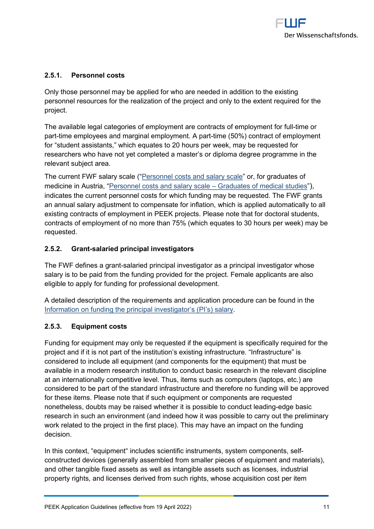

### <span id="page-10-0"></span>**2.5.1. Personnel costs**

Only those personnel may be applied for who are needed in addition to the existing personnel resources for the realization of the project and only to the extent required for the project.

The available legal categories of employment are contracts of employment for full-time or part-time employees and marginal employment. A part-time (50%) contract of employment for "student assistants," which equates to 20 hours per week, may be requested for researchers who have not yet completed a master's or diploma degree programme in the relevant subject area.

The current FWF salary scale (["Personnel costs and salary scale"](https://www.fwf.ac.at/en/research-funding/personnel-costs/) or, for graduates of medicine in Austria, ["Personnel costs and salary scale –](https://www.fwf.ac.at/fileadmin/files/Dokumente/Personalkostensaetze/personell-costs-2020-medicine.pdf) Graduates of medical studies"), indicates the current personnel costs for which funding may be requested. The FWF grants an annual salary adjustment to compensate for inflation, which is applied automatically to all existing contracts of employment in PEEK projects. Please note that for doctoral students, contracts of employment of no more than 75% (which equates to 30 hours per week) may be requested.

## <span id="page-10-1"></span>**2.5.2. Grant-salaried principal investigators**

The FWF defines a grant-salaried principal investigator as a principal investigator whose salary is to be paid from the funding provided for the project. Female applicants are also eligible to apply for funding for professional development.

A detailed description of the requirements and application procedure can be found in the [Information on funding the principal investigator's \(PI's\) salary.](https://www.fwf.ac.at/fileadmin/files/Dokumente/Antragstellung/information_grant-salaried-PI.pdf)

#### <span id="page-10-2"></span>**2.5.3. Equipment costs**

Funding for equipment may only be requested if the equipment is specifically required for the project and if it is not part of the institution's existing infrastructure. "Infrastructure" is considered to include all equipment (and components for the equipment) that must be available in a modern research institution to conduct basic research in the relevant discipline at an internationally competitive level. Thus, items such as computers (laptops, etc.) are considered to be part of the standard infrastructure and therefore no funding will be approved for these items. Please note that if such equipment or components are requested nonetheless, doubts may be raised whether it is possible to conduct leading-edge basic research in such an environment (and indeed how it was possible to carry out the preliminary work related to the project in the first place). This may have an impact on the funding decision.

In this context, "equipment" includes scientific instruments, system components, selfconstructed devices (generally assembled from smaller pieces of equipment and materials), and other tangible fixed assets as well as intangible assets such as licenses, industrial property rights, and licenses derived from such rights, whose acquisition cost per item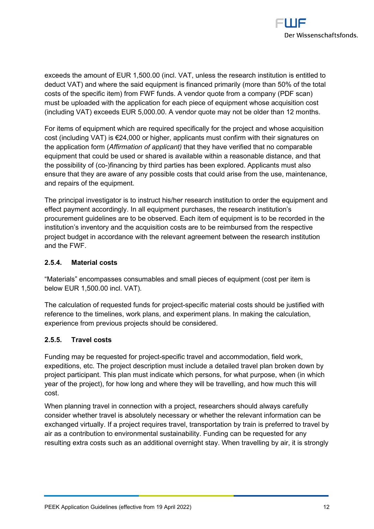

exceeds the amount of EUR 1,500.00 (incl. VAT, unless the research institution is entitled to deduct VAT) and where the said equipment is financed primarily (more than 50% of the total costs of the specific item) from FWF funds. A vendor quote from a company (PDF scan) must be uploaded with the application for each piece of equipment whose acquisition cost (including VAT) exceeds EUR 5,000.00. A vendor quote may not be older than 12 months.

For items of equipment which are required specifically for the project and whose acquisition cost (including VAT) is €24,000 or higher, applicants must confirm with their signatures on the application form (*Affirmation of applicant)* that they have verified that no comparable equipment that could be used or shared is available within a reasonable distance, and that the possibility of (co-)financing by third parties has been explored. Applicants must also ensure that they are aware of any possible costs that could arise from the use, maintenance, and repairs of the equipment.

The principal investigator is to instruct his/her research institution to order the equipment and effect payment accordingly. In all equipment purchases, the research institution's procurement guidelines are to be observed. Each item of equipment is to be recorded in the institution's inventory and the acquisition costs are to be reimbursed from the respective project budget in accordance with the relevant agreement between the research institution and the FWF.

#### <span id="page-11-0"></span>**2.5.4. Material costs**

"Materials" encompasses consumables and small pieces of equipment (cost per item is below EUR 1,500.00 incl. VAT).

The calculation of requested funds for project-specific material costs should be justified with reference to the timelines, work plans, and experiment plans. In making the calculation, experience from previous projects should be considered.

#### <span id="page-11-1"></span>**2.5.5. Travel costs**

Funding may be requested for project-specific travel and accommodation, field work, expeditions, etc. The project description must include a detailed travel plan broken down by project participant. This plan must indicate which persons, for what purpose, when (in which year of the project), for how long and where they will be travelling, and how much this will cost.

When planning travel in connection with a project, researchers should always carefully consider whether travel is absolutely necessary or whether the relevant information can be exchanged virtually. If a project requires travel, transportation by train is preferred to travel by air as a contribution to environmental sustainability. Funding can be requested for any resulting extra costs such as an additional overnight stay. When travelling by air, it is strongly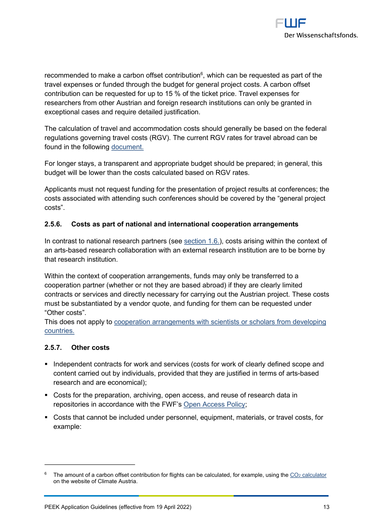<span id="page-12-3"></span>

recommended to make a carbon offset contribution $^6$  $^6$ , which can be requested as part of the travel expenses or funded through the budget for general project costs. A carbon offset contribution can be requested for up to 15 % of the ticket price. Travel expenses for researchers from other Austrian and foreign research institutions can only be granted in exceptional cases and require detailed justification.

The calculation of travel and accommodation costs should generally be based on the federal regulations governing travel costs (RGV). The current RGV rates for travel abroad can be found in the following [document.](http://www.fwf.ac.at/fileadmin/files/Dokumente/Downloads/bgbl.pdf)

For longer stays, a transparent and appropriate budget should be prepared; in general, this budget will be lower than the costs calculated based on RGV rates.

Applicants must not request funding for the presentation of project results at conferences; the costs associated with attending such conferences should be covered by the "general project costs".

#### <span id="page-12-0"></span>**2.5.6. Costs as part of national and international cooperation arrangements**

In contrast to national research partners (see [section 1.6.](#page-3-4)), costs arising within the context of an arts-based research collaboration with an external research institution are to be borne by that research institution.

Within the context of cooperation arrangements, funds may only be transferred to a cooperation partner (whether or not they are based abroad) if they are clearly limited contracts or services and directly necessary for carrying out the Austrian project. These costs must be substantiated by a vendor quote, and funding for them can be requested under "Other costs".

This does not apply to [cooperation arrangements with scientists or scholars from developing](https://www.fwf.ac.at/en/research-funding/fwf-programmes/international-programmes/developing-countries-projects/)  [countries.](https://www.fwf.ac.at/en/research-funding/fwf-programmes/international-programmes/developing-countries-projects/)

#### <span id="page-12-1"></span>**2.5.7. Other costs**

- Independent contracts for work and services (costs for work of clearly defined scope and content carried out by individuals, provided that they are justified in terms of arts-based research and are economical);
- Costs for the preparation, archiving, open access, and reuse of research data in repositories in accordance with the FWF's [Open Access Policy;](https://www.fwf.ac.at/en/research-funding/open-access-policy/)
- Costs that cannot be included under personnel, equipment, materials, or travel costs, for example:

<span id="page-12-2"></span><sup>&</sup>lt;sup>[6](#page-12-3)</sup> The amount of a carbon offset contribution for flights can be calculated, for example, using the CO<sub>2</sub> [calculator](https://www.climateaustria.at/eng/co2offsetting.html) on the website of Climate Austria.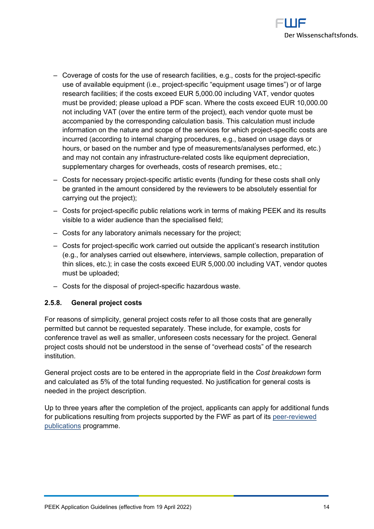

- ‒ Coverage of costs for the use of research facilities, e.g., costs for the project-specific use of available equipment (i.e., project-specific "equipment usage times") or of large research facilities; if the costs exceed EUR 5,000.00 including VAT, vendor quotes must be provided; please upload a PDF scan. Where the costs exceed EUR 10,000.00 not including VAT (over the entire term of the project), each vendor quote must be accompanied by the corresponding calculation basis. This calculation must include information on the nature and scope of the services for which project-specific costs are incurred (according to internal charging procedures, e.g., based on usage days or hours, or based on the number and type of measurements/analyses performed, etc.) and may not contain any infrastructure-related costs like equipment depreciation, supplementary charges for overheads, costs of research premises, etc.;
- ‒ Costs for necessary project-specific artistic events (funding for these costs shall only be granted in the amount considered by the reviewers to be absolutely essential for carrying out the project);
- ‒ Costs for project-specific public relations work in terms of making PEEK and its results visible to a wider audience than the specialised field;
- ‒ Costs for any laboratory animals necessary for the project;
- ‒ Costs for project-specific work carried out outside the applicant's research institution (e.g., for analyses carried out elsewhere, interviews, sample collection, preparation of thin slices, etc.); in case the costs exceed EUR 5,000.00 including VAT, vendor quotes must be uploaded;
- ‒ Costs for the disposal of project-specific hazardous waste.

#### <span id="page-13-0"></span>**2.5.8. General project costs**

For reasons of simplicity, general project costs refer to all those costs that are generally permitted but cannot be requested separately. These include, for example, costs for conference travel as well as smaller, unforeseen costs necessary for the project. General project costs should not be understood in the sense of "overhead costs" of the research institution.

General project costs are to be entered in the appropriate field in the *Cost breakdown* form and calculated as 5% of the total funding requested. No justification for general costs is needed in the project description.

Up to three years after the completion of the project, applicants can apply for additional funds for publications resulting from projects supported by the FWF as part of its [peer-reviewed](https://www.fwf.ac.at/en/research-funding/fwf-programmes/peer-reviewed-publications/)  [publications](https://www.fwf.ac.at/en/research-funding/fwf-programmes/peer-reviewed-publications/) programme.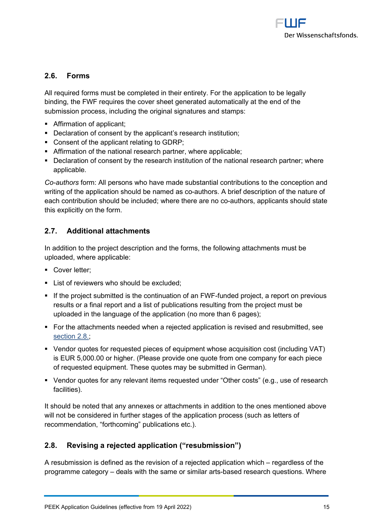

## <span id="page-14-0"></span>**2.6. Forms**

All required forms must be completed in their entirety. For the application to be legally binding, the FWF requires the cover sheet generated automatically at the end of the submission process, including the original signatures and stamps:

- Affirmation of applicant:
- Declaration of consent by the applicant's research institution;
- Consent of the applicant relating to GDRP;
- **EXEDENT Affirmation of the national research partner, where applicable;**
- Declaration of consent by the research institution of the national research partner; where applicable.

*Co-authors* form: All persons who have made substantial contributions to the conception and writing of the application should be named as co-authors. A brief description of the nature of each contribution should be included; where there are no co-authors, applicants should state this explicitly on the form.

## <span id="page-14-1"></span>**2.7. Additional attachments**

In addition to the project description and the forms, the following attachments must be uploaded, where applicable:

- Cover letter;
- **EXECUTE:** List of reviewers who should be excluded;
- If the project submitted is the continuation of an FWF-funded project, a report on previous results or a final report and a list of publications resulting from the project must be uploaded in the language of the application (no more than 6 pages);
- For the attachments needed when a rejected application is revised and resubmitted, see [section 2.8](#page-14-2).;
- Vendor quotes for requested pieces of equipment whose acquisition cost (including VAT) is EUR 5,000.00 or higher. (Please provide one quote from one company for each piece of requested equipment. These quotes may be submitted in German).
- Vendor quotes for any relevant items requested under "Other costs" (e.g., use of research facilities).

It should be noted that any annexes or attachments in addition to the ones mentioned above will not be considered in further stages of the application process (such as letters of recommendation, "forthcoming" publications etc.).

## <span id="page-14-2"></span>**2.8. Revising a rejected application ("resubmission")**

A resubmission is defined as the revision of a rejected application which – regardless of the programme category – deals with the same or similar arts-based research questions. Where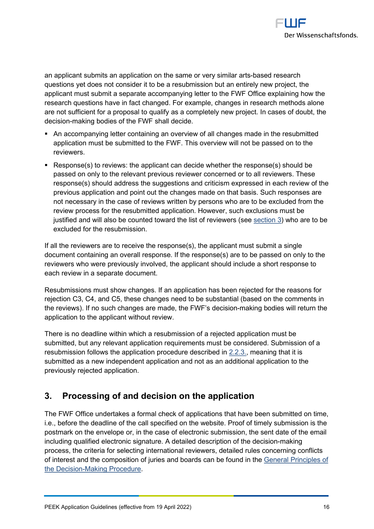

an applicant submits an application on the same or very similar arts-based research questions yet does not consider it to be a resubmission but an entirely new project, the applicant must submit a separate accompanying letter to the FWF Office explaining how the research questions have in fact changed. For example, changes in research methods alone are not sufficient for a proposal to qualify as a completely new project. In cases of doubt, the decision-making bodies of the FWF shall decide.

- An accompanying letter containing an overview of all changes made in the resubmitted application must be submitted to the FWF. This overview will not be passed on to the reviewers.
- Response(s) to reviews: the applicant can decide whether the response(s) should be passed on only to the relevant previous reviewer concerned or to all reviewers. These response(s) should address the suggestions and criticism expressed in each review of the previous application and point out the changes made on that basis. Such responses are not necessary in the case of reviews written by persons who are to be excluded from the review process for the resubmitted application. However, such exclusions must be justified and will also be counted toward the list of reviewers (see [section 3\)](#page-15-0) who are to be excluded for the resubmission.

If all the reviewers are to receive the response(s), the applicant must submit a single document containing an overall response. If the response(s) are to be passed on only to the reviewers who were previously involved, the applicant should include a short response to each review in a separate document.

Resubmissions must show changes. If an application has been rejected for the reasons for rejection C3, C4, and C5, these changes need to be substantial (based on the comments in the reviews). If no such changes are made, the FWF's decision-making bodies will return the application to the applicant without review.

There is no deadline within which a resubmission of a rejected application must be submitted, but any relevant application requirements must be considered. Submission of a resubmission follows the application procedure described in [2.2.3.,](#page-5-4) meaning that it is submitted as a new independent application and not as an additional application to the previously rejected application.

## <span id="page-15-0"></span>**3. Processing of and decision on the application**

The FWF Office undertakes a formal check of applications that have been submitted on time, i.e., before the deadline of the call specified on the website. Proof of timely submission is the postmark on the envelope or, in the case of electronic submission, the sent date of the email including qualified electronic signature. A detailed description of the decision-making process, the criteria for selecting international reviewers, detailed rules concerning conflicts of interest and the composition of juries and boards can be found in the [General Principles of](https://www.fwf.ac.at/en/research-funding/decision-making-procedure-evaluation/decision-making-procedure/)  [the Decision-Making Procedure.](https://www.fwf.ac.at/en/research-funding/decision-making-procedure-evaluation/decision-making-procedure/)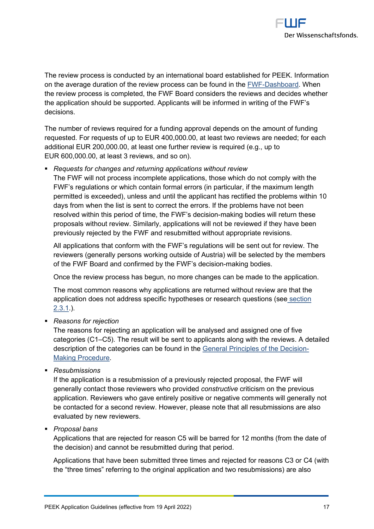

The review process is conducted by an international board established for PEEK. Information on the average duration of the review process can be found in the **FWF-Dashboard**. When the review process is completed, the FWF Board considers the reviews and decides whether the application should be supported. Applicants will be informed in writing of the FWF's decisions.

The number of reviews required for a funding approval depends on the amount of funding requested. For requests of up to EUR 400,000.00, at least two reviews are needed; for each additional EUR 200,000.00, at least one further review is required (e.g., up to EUR 600,000.00, at least 3 reviews, and so on).

▪ *Requests for changes and returning applications without review*

The FWF will not process incomplete applications, those which do not comply with the FWF's regulations or which contain formal errors (in particular, if the maximum length permitted is exceeded), unless and until the applicant has rectified the problems within 10 days from when the list is sent to correct the errors. If the problems have not been resolved within this period of time, the FWF's decision-making bodies will return these proposals without review. Similarly, applications will not be reviewed if they have been previously rejected by the FWF and resubmitted without appropriate revisions.

All applications that conform with the FWF's regulations will be sent out for review. The reviewers (generally persons working outside of Austria) will be selected by the members of the FWF Board and confirmed by the FWF's decision-making bodies.

Once the review process has begun, no more changes can be made to the application.

The most common reasons why applications are returned without review are that the application does not address specific hypotheses or research questions (see [section](#page-7-1)  [2.3.1.](#page-7-1)).

▪ *Reasons for rejection*

The reasons for rejecting an application will be analysed and assigned one of five categories (C1–C5). The result will be sent to applicants along with the reviews. A detailed description of the categories can be found in the [General Principles of the Decision-](https://www.fwf.ac.at/en/research-funding/decision-making-procedure-evaluation/decision-making-procedure/)[Making Procedure.](https://www.fwf.ac.at/en/research-funding/decision-making-procedure-evaluation/decision-making-procedure/)

▪ *Resubmissions*

If the application is a resubmission of a previously rejected proposal, the FWF will generally contact those reviewers who provided *constructive* criticism on the previous application. Reviewers who gave entirely positive or negative comments will generally not be contacted for a second review. However, please note that all resubmissions are also evaluated by new reviewers.

## ▪ *Proposal bans*

Applications that are rejected for reason C5 will be barred for 12 months (from the date of the decision) and cannot be resubmitted during that period.

Applications that have been submitted three times and rejected for reasons C3 or C4 (with the "three times" referring to the original application and two resubmissions) are also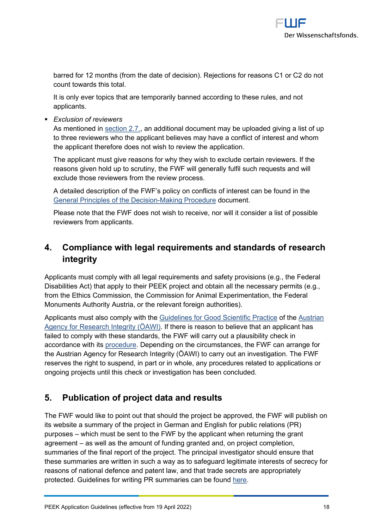

barred for 12 months (from the date of decision). Rejections for reasons C1 or C2 do not count towards this total.

It is only ever topics that are temporarily banned according to these rules, and not applicants.

▪ *Exclusion of reviewers* 

As mentioned in [section 2.7.,](#page-14-1) an additional document may be uploaded giving a list of up to three reviewers who the applicant believes may have a conflict of interest and whom the applicant therefore does not wish to review the application.

The applicant must give reasons for why they wish to exclude certain reviewers. If the reasons given hold up to scrutiny, the FWF will generally fulfil such requests and will exclude those reviewers from the review process.

A detailed description of the FWF's policy on conflicts of interest can be found in the [General Principles of the Decision-Making Procedure](https://www.fwf.ac.at/en/research-funding/decision-making-procedure-evaluation/decision-making-procedure/) document.

Please note that the FWF does not wish to receive, nor will it consider a list of possible reviewers from applicants.

# <span id="page-17-0"></span>**4. Compliance with legal requirements and standards of research integrity**

Applicants must comply with all legal requirements and safety provisions (e.g., the Federal Disabilities Act) that apply to their PEEK project and obtain all the necessary permits (e.g., from the Ethics Commission, the Commission for Animal Experimentation, the Federal Monuments Authority Austria, or the relevant foreign authorities).

Applicants must also comply with the [Guidelines for Good Scientific Practice](https://oeawi.at/en/guidelines/) of the [Austrian](https://oeawi.at/en/)  [Agency for Research Integrity \(ÖAWI\).](https://oeawi.at/en/) If there is reason to believe that an applicant has failed to comply with these standards, the FWF will carry out a plausibility check in accordance with its [procedure.](https://www.fwf.ac.at/fileadmin/files/Dokumente/Research_Integrity_Ethics/FWF_Verfahren_Research_Misconduct-en.pdf) Depending on the circumstances, the FWF can arrange for the Austrian Agency for Research Integrity (ÖAWI) to carry out an investigation. The FWF reserves the right to suspend, in part or in whole, any procedures related to applications or ongoing projects until this check or investigation has been concluded.

## <span id="page-17-1"></span>**5. Publication of project data and results**

The FWF would like to point out that should the project be approved, the FWF will publish on its website a summary of the project in German and English for public relations (PR) purposes – which must be sent to the FWF by the applicant when returning the grant agreement – as well as the amount of funding granted and, on project completion, summaries of the final report of the project. The principal investigator should ensure that these summaries are written in such a way as to safeguard legitimate interests of secrecy for reasons of national defence and patent law, and that trade secrets are appropriately protected. Guidelines for writing PR summaries can be found [here.](https://www.fwf.ac.at/fileadmin/files/Dokumente/Antragstellung/vorgaben_pr-kurzfassungen.pdf)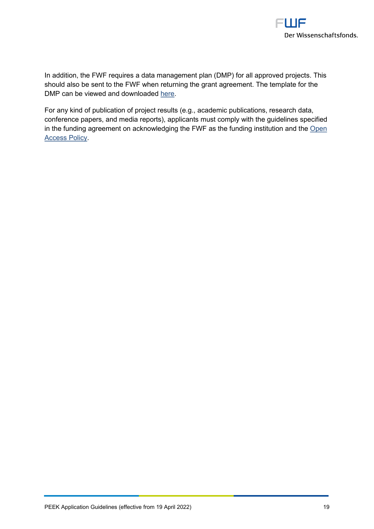

In addition, the FWF requires a data management plan (DMP) for all approved projects. This should also be sent to the FWF when returning the grant agreement. The template for the DMP can be viewed and downloaded [here.](https://www.fwf.ac.at/en/research-funding/open-access-policy/research-data-management/)

For any kind of publication of project results (e.g., academic publications, research data, conference papers, and media reports), applicants must comply with the guidelines specified in the funding agreement on acknowledging the FWF as the funding institution and the [Open](https://www.fwf.ac.at/en/research-funding/open-access-policy/)  [Access Policy.](https://www.fwf.ac.at/en/research-funding/open-access-policy/)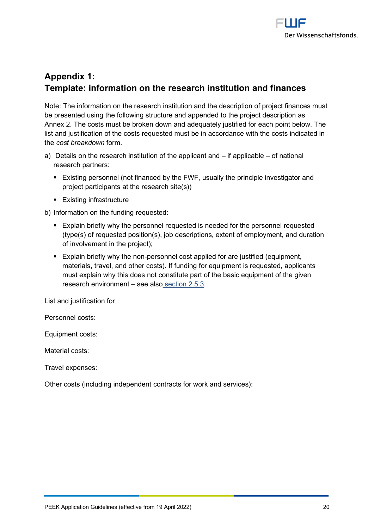

# <span id="page-19-0"></span>**Appendix 1: Template: information on the research institution and finances**

Note: The information on the research institution and the description of project finances must be presented using the following structure and appended to the project description as Annex 2. The costs must be broken down and adequately justified for each point below. The list and justification of the costs requested must be in accordance with the costs indicated in the *cost breakdown* form.

- a) Details on the research institution of the applicant and  $-$  if applicable  $-$  of national research partners:
	- Existing personnel (not financed by the FWF, usually the principle investigator and project participants at the research site(s))
	- Existing infrastructure

b) Information on the funding requested:

- **Explain briefly why the personnel requested is needed for the personnel requested** (type(s) of requested position(s), job descriptions, extent of employment, and duration of involvement in the project);
- Explain briefly why the non-personnel cost applied for are justified (equipment, materials, travel, and other costs). If funding for equipment is requested, applicants must explain why this does not constitute part of the basic equipment of the given research environment – see also [section 2.5.3.](#page-10-2)

List and justification for

Personnel costs:

Equipment costs:

Material costs:

Travel expenses:

Other costs (including independent contracts for work and services):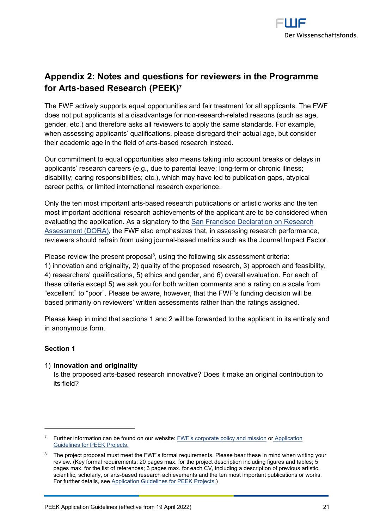<span id="page-20-3"></span>

# <span id="page-20-0"></span>**Appendix 2: Notes and questions for reviewers in the Programme for Arts-based Research (PEEK)[7](#page-20-1)**

The FWF actively supports equal opportunities and fair treatment for all applicants. The FWF does not put applicants at a disadvantage for non-research-related reasons (such as age, gender, etc.) and therefore asks all reviewers to apply the same standards. For example, when assessing applicants' qualifications, please disregard their actual age, but consider their academic age in the field of arts-based research instead.

Our commitment to equal opportunities also means taking into account breaks or delays in applicants' research careers (e.g., due to parental leave; long-term or chronic illness; disability; caring responsibilities; etc.), which may have led to publication gaps, atypical career paths, or limited international research experience.

Only the ten most important arts-based research publications or artistic works and the ten most important additional research achievements of the applicant are to be considered when evaluating the application. As a signatory to the [San Francisco Declaration on Research](https://sfdora.org/read/)  [Assessment \(DORA\),](https://sfdora.org/read/) the FWF also emphasizes that, in assessing research performance, reviewers should refrain from using journal-based metrics such as the Journal Impact Factor.

<span id="page-20-4"></span>Please review the present proposal $^8$  $^8$ , using the following six assessment criteria: 1) innovation and originality, 2) quality of the proposed research, 3) approach and feasibility, 4) researchers' qualifications, 5) ethics and gender, and 6) overall evaluation. For each of these criteria except 5) we ask you for both written comments and a rating on a scale from "excellent" to "poor". Please be aware, however, that the FWF's funding decision will be

based primarily on reviewers' written assessments rather than the ratings assigned.

Please keep in mind that sections 1 and 2 will be forwarded to the applicant in its entirety and in anonymous form.

## **Section 1**

#### 1) **Innovation and originality**

Is the proposed arts-based research innovative? Does it make an original contribution to its field?

<span id="page-20-1"></span><sup>&</sup>lt;sup>[7](#page-20-3)</sup> Further information can be found on our website[: FWF's corporate policy and mission](https://www.fwf.ac.at/en/about-the-fwf/corporate-policy/) or Application [Guidelines for PEEK Projects.](https://www.fwf.ac.at/en/research-funding/fwf-programmes/peek/)

<span id="page-20-2"></span><sup>&</sup>lt;sup>[8](#page-20-4)</sup> The project proposal must meet the FWF's formal requirements. Please bear these in mind when writing your review. (Key formal requirements: 20 pages max. for the project description including figures and tables; 5 pages max. for the list of references; 3 pages max. for each CV, including a description of previous artistic, scientific, scholarly, or arts-based research achievements and the ten most important publications or works. For further details, se[e Application Guidelines for PEEK Projects.](https://www.fwf.ac.at/en/research-funding/fwf-programmes/peek/))